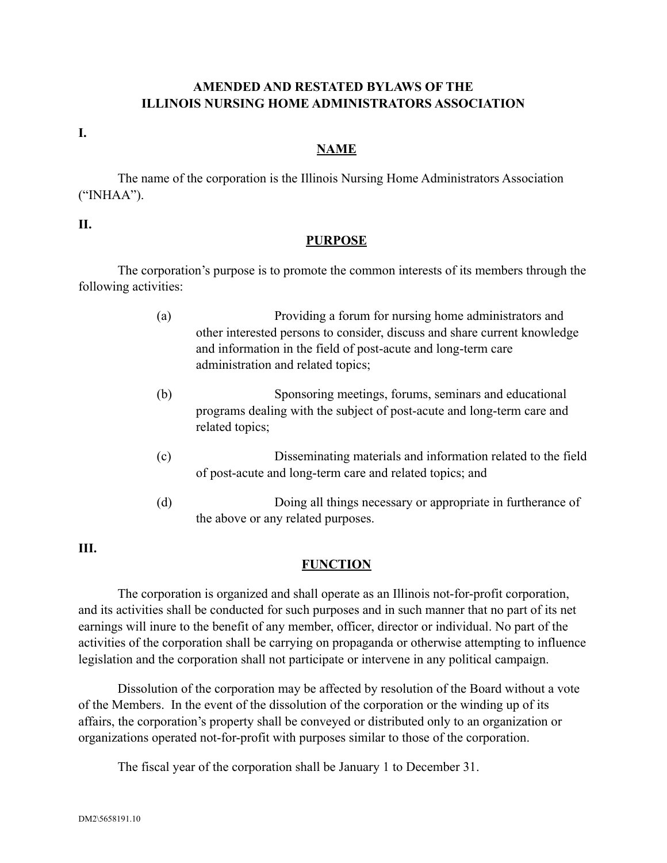### **AMENDED AND RESTATED BYLAWS OF THE ILLINOIS NURSING HOME ADMINISTRATORS ASSOCIATION**

**I.**

#### **NAME**

The name of the corporation is the Illinois Nursing Home Administrators Association ("INHAA").

#### **II.**

#### **PURPOSE**

The corporation's purpose is to promote the common interests of its members through the following activities:

- (a) Providing a forum for nursing home administrators and other interested persons to consider, discuss and share current knowledge and information in the field of post-acute and long-term care administration and related topics;
- (b) Sponsoring meetings, forums, seminars and educational programs dealing with the subject of post-acute and long-term care and related topics;
- (c) Disseminating materials and information related to the field of post-acute and long-term care and related topics; and
- (d) Doing all things necessary or appropriate in furtherance of the above or any related purposes.

### **III.**

### **FUNCTION**

The corporation is organized and shall operate as an Illinois not-for-profit corporation, and its activities shall be conducted for such purposes and in such manner that no part of its net earnings will inure to the benefit of any member, officer, director or individual. No part of the activities of the corporation shall be carrying on propaganda or otherwise attempting to influence legislation and the corporation shall not participate or intervene in any political campaign.

Dissolution of the corporation may be affected by resolution of the Board without a vote of the Members. In the event of the dissolution of the corporation or the winding up of its affairs, the corporation's property shall be conveyed or distributed only to an organization or organizations operated not-for-profit with purposes similar to those of the corporation.

The fiscal year of the corporation shall be January 1 to December 31.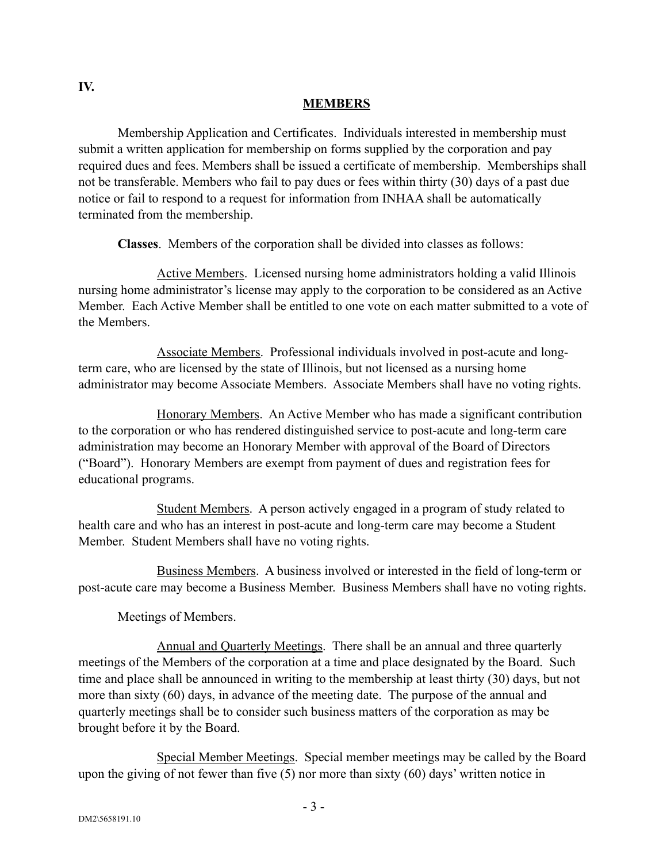### **MEMBERS**

Membership Application and Certificates. Individuals interested in membership must submit a written application for membership on forms supplied by the corporation and pay required dues and fees. Members shall be issued a certificate of membership. Memberships shall not be transferable. Members who fail to pay dues or fees within thirty (30) days of a past due notice or fail to respond to a request for information from INHAA shall be automatically terminated from the membership.

**Classes**. Members of the corporation shall be divided into classes as follows:

Active Members. Licensed nursing home administrators holding a valid Illinois nursing home administrator's license may apply to the corporation to be considered as an Active Member. Each Active Member shall be entitled to one vote on each matter submitted to a vote of the Members.

Associate Members. Professional individuals involved in post-acute and longterm care, who are licensed by the state of Illinois, but not licensed as a nursing home administrator may become Associate Members. Associate Members shall have no voting rights.

Honorary Members. An Active Member who has made a significant contribution to the corporation or who has rendered distinguished service to post-acute and long-term care administration may become an Honorary Member with approval of the Board of Directors ("Board"). Honorary Members are exempt from payment of dues and registration fees for educational programs.

Student Members. A person actively engaged in a program of study related to health care and who has an interest in post-acute and long-term care may become a Student Member. Student Members shall have no voting rights.

Business Members. A business involved or interested in the field of long-term or post-acute care may become a Business Member. Business Members shall have no voting rights.

# Meetings of Members.

Annual and Quarterly Meetings. There shall be an annual and three quarterly meetings of the Members of the corporation at a time and place designated by the Board. Such time and place shall be announced in writing to the membership at least thirty (30) days, but not more than sixty (60) days, in advance of the meeting date. The purpose of the annual and quarterly meetings shall be to consider such business matters of the corporation as may be brought before it by the Board.

Special Member Meetings. Special member meetings may be called by the Board upon the giving of not fewer than five (5) nor more than sixty (60) days' written notice in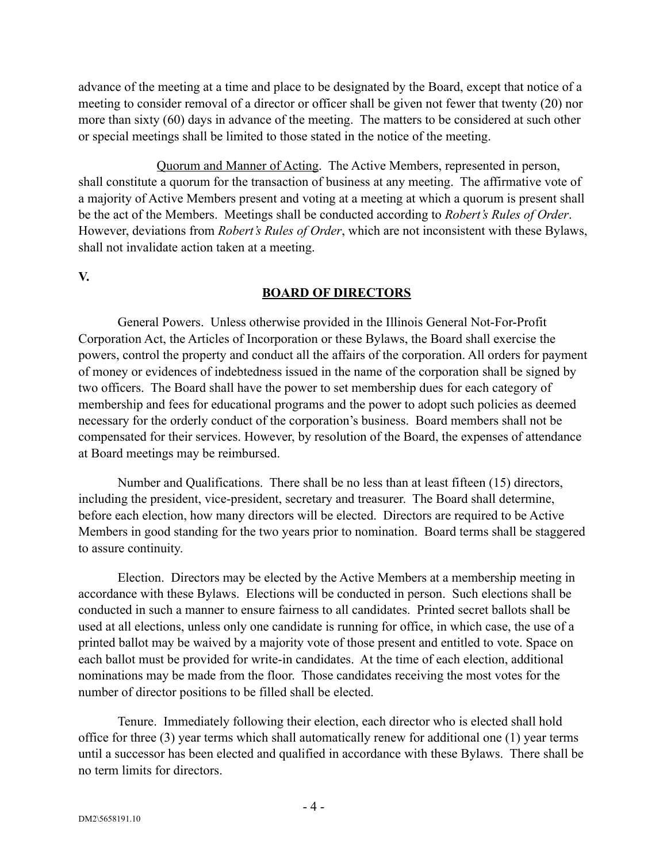advance of the meeting at a time and place to be designated by the Board, except that notice of a meeting to consider removal of a director or officer shall be given not fewer that twenty (20) nor more than sixty (60) days in advance of the meeting. The matters to be considered at such other or special meetings shall be limited to those stated in the notice of the meeting.

Quorum and Manner of Acting. The Active Members, represented in person, shall constitute a quorum for the transaction of business at any meeting. The affirmative vote of a majority of Active Members present and voting at a meeting at which a quorum is present shall be the act of the Members. Meetings shall be conducted according to *Robert's Rules of Order*. However, deviations from *Robert's Rules of Order*, which are not inconsistent with these Bylaws, shall not invalidate action taken at a meeting.

**V.**

#### **BOARD OF DIRECTORS**

General Powers. Unless otherwise provided in the Illinois General Not-For-Profit Corporation Act, the Articles of Incorporation or these Bylaws, the Board shall exercise the powers, control the property and conduct all the affairs of the corporation. All orders for payment of money or evidences of indebtedness issued in the name of the corporation shall be signed by two officers. The Board shall have the power to set membership dues for each category of membership and fees for educational programs and the power to adopt such policies as deemed necessary for the orderly conduct of the corporation's business. Board members shall not be compensated for their services. However, by resolution of the Board, the expenses of attendance at Board meetings may be reimbursed.

Number and Qualifications. There shall be no less than at least fifteen (15) directors, including the president, vice-president, secretary and treasurer. The Board shall determine, before each election, how many directors will be elected. Directors are required to be Active Members in good standing for the two years prior to nomination. Board terms shall be staggered to assure continuity.

Election. Directors may be elected by the Active Members at a membership meeting in accordance with these Bylaws. Elections will be conducted in person. Such elections shall be conducted in such a manner to ensure fairness to all candidates. Printed secret ballots shall be used at all elections, unless only one candidate is running for office, in which case, the use of a printed ballot may be waived by a majority vote of those present and entitled to vote. Space on each ballot must be provided for write-in candidates. At the time of each election, additional nominations may be made from the floor. Those candidates receiving the most votes for the number of director positions to be filled shall be elected.

Tenure. Immediately following their election, each director who is elected shall hold office for three (3) year terms which shall automatically renew for additional one (1) year terms until a successor has been elected and qualified in accordance with these Bylaws. There shall be no term limits for directors.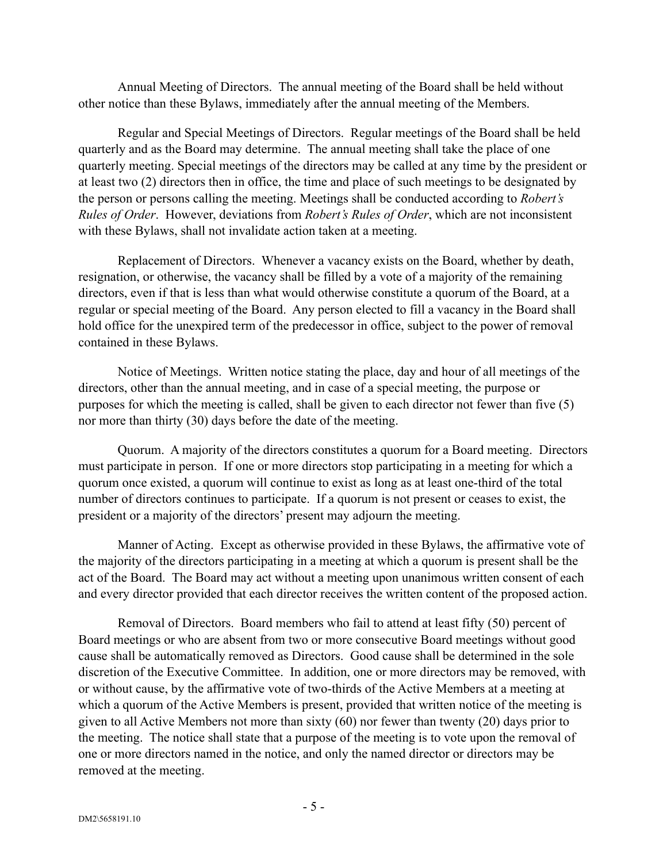Annual Meeting of Directors. The annual meeting of the Board shall be held without other notice than these Bylaws, immediately after the annual meeting of the Members.

Regular and Special Meetings of Directors. Regular meetings of the Board shall be held quarterly and as the Board may determine. The annual meeting shall take the place of one quarterly meeting. Special meetings of the directors may be called at any time by the president or at least two (2) directors then in office, the time and place of such meetings to be designated by the person or persons calling the meeting. Meetings shall be conducted according to *Robert's Rules of Order*. However, deviations from *Robert's Rules of Order*, which are not inconsistent with these Bylaws, shall not invalidate action taken at a meeting.

Replacement of Directors. Whenever a vacancy exists on the Board, whether by death, resignation, or otherwise, the vacancy shall be filled by a vote of a majority of the remaining directors, even if that is less than what would otherwise constitute a quorum of the Board, at a regular or special meeting of the Board. Any person elected to fill a vacancy in the Board shall hold office for the unexpired term of the predecessor in office, subject to the power of removal contained in these Bylaws.

Notice of Meetings. Written notice stating the place, day and hour of all meetings of the directors, other than the annual meeting, and in case of a special meeting, the purpose or purposes for which the meeting is called, shall be given to each director not fewer than five (5) nor more than thirty (30) days before the date of the meeting.

Quorum. A majority of the directors constitutes a quorum for a Board meeting. Directors must participate in person. If one or more directors stop participating in a meeting for which a quorum once existed, a quorum will continue to exist as long as at least one-third of the total number of directors continues to participate. If a quorum is not present or ceases to exist, the president or a majority of the directors' present may adjourn the meeting.

Manner of Acting. Except as otherwise provided in these Bylaws, the affirmative vote of the majority of the directors participating in a meeting at which a quorum is present shall be the act of the Board. The Board may act without a meeting upon unanimous written consent of each and every director provided that each director receives the written content of the proposed action.

Removal of Directors. Board members who fail to attend at least fifty (50) percent of Board meetings or who are absent from two or more consecutive Board meetings without good cause shall be automatically removed as Directors. Good cause shall be determined in the sole discretion of the Executive Committee. In addition, one or more directors may be removed, with or without cause, by the affirmative vote of two-thirds of the Active Members at a meeting at which a quorum of the Active Members is present, provided that written notice of the meeting is given to all Active Members not more than sixty (60) nor fewer than twenty (20) days prior to the meeting. The notice shall state that a purpose of the meeting is to vote upon the removal of one or more directors named in the notice, and only the named director or directors may be removed at the meeting.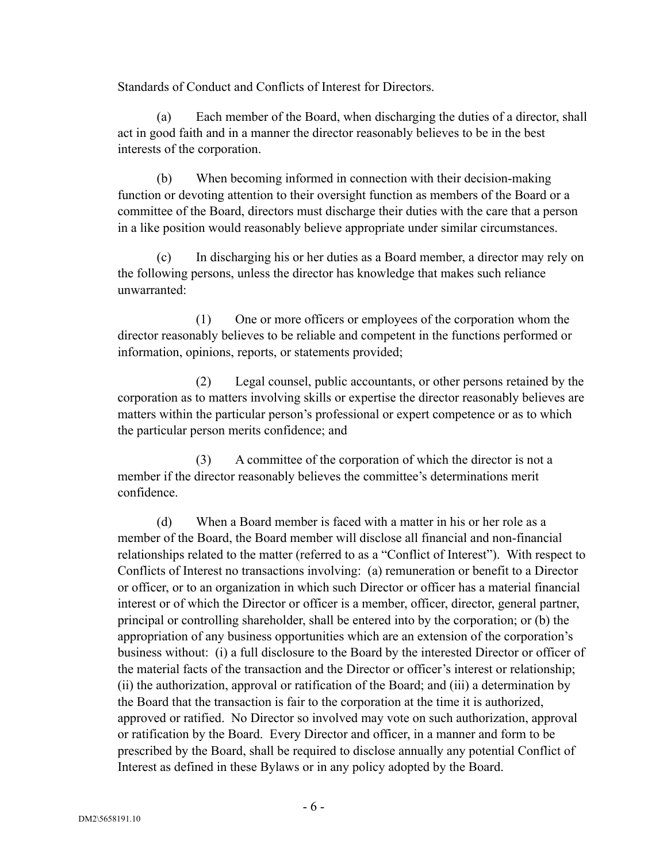Standards of Conduct and Conflicts of Interest for Directors.

(a) Each member of the Board, when discharging the duties of a director, shall act in good faith and in a manner the director reasonably believes to be in the best interests of the corporation.

(b) When becoming informed in connection with their decision-making function or devoting attention to their oversight function as members of the Board or a committee of the Board, directors must discharge their duties with the care that a person in a like position would reasonably believe appropriate under similar circumstances.

(c) In discharging his or her duties as a Board member, a director may rely on the following persons, unless the director has knowledge that makes such reliance unwarranted:

(1) One or more officers or employees of the corporation whom the director reasonably believes to be reliable and competent in the functions performed or information, opinions, reports, or statements provided;

(2) Legal counsel, public accountants, or other persons retained by the corporation as to matters involving skills or expertise the director reasonably believes are matters within the particular person's professional or expert competence or as to which the particular person merits confidence; and

(3) A committee of the corporation of which the director is not a member if the director reasonably believes the committee's determinations merit confidence.

(d) When a Board member is faced with a matter in his or her role as a member of the Board, the Board member will disclose all financial and non-financial relationships related to the matter (referred to as a "Conflict of Interest"). With respect to Conflicts of Interest no transactions involving: (a) remuneration or benefit to a Director or officer, or to an organization in which such Director or officer has a material financial interest or of which the Director or officer is a member, officer, director, general partner, principal or controlling shareholder, shall be entered into by the corporation; or (b) the appropriation of any business opportunities which are an extension of the corporation's business without: (i) a full disclosure to the Board by the interested Director or officer of the material facts of the transaction and the Director or officer's interest or relationship; (ii) the authorization, approval or ratification of the Board; and (iii) a determination by the Board that the transaction is fair to the corporation at the time it is authorized, approved or ratified. No Director so involved may vote on such authorization, approval or ratification by the Board. Every Director and officer, in a manner and form to be prescribed by the Board, shall be required to disclose annually any potential Conflict of Interest as defined in these Bylaws or in any policy adopted by the Board.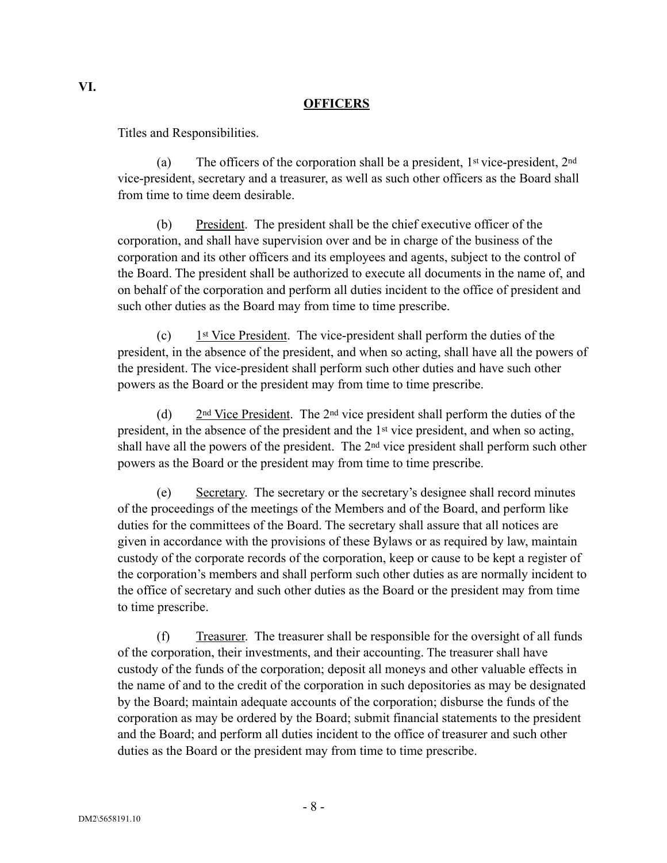### **OFFICERS**

Titles and Responsibilities.

(a) The officers of the corporation shall be a president,  $1<sup>st</sup>$  vice-president,  $2<sup>nd</sup>$ vice-president, secretary and a treasurer, as well as such other officers as the Board shall from time to time deem desirable.

President. The president shall be the chief executive officer of the corporation, and shall have supervision over and be in charge of the business of the corporation and its other officers and its employees and agents, subject to the control of the Board. The president shall be authorized to execute all documents in the name of, and on behalf of the corporation and perform all duties incident to the office of president and such other duties as the Board may from time to time prescribe.

(c)  $1<sup>st</sup> Vice President. The vice-president shall perform the duties of the$ president, in the absence of the president, and when so acting, shall have all the powers of the president. The vice-president shall perform such other duties and have such other powers as the Board or the president may from time to time prescribe.

(d) 2nd Vice President. The 2nd vice president shall perform the duties of the president, in the absence of the president and the 1st vice president, and when so acting, shall have all the powers of the president. The 2nd vice president shall perform such other powers as the Board or the president may from time to time prescribe.

(e) Secretary. The secretary or the secretary's designee shall record minutes of the proceedings of the meetings of the Members and of the Board, and perform like duties for the committees of the Board. The secretary shall assure that all notices are given in accordance with the provisions of these Bylaws or as required by law, maintain custody of the corporate records of the corporation, keep or cause to be kept a register of the corporation's members and shall perform such other duties as are normally incident to the office of secretary and such other duties as the Board or the president may from time to time prescribe.

(f) Treasurer. The treasurer shall be responsible for the oversight of all funds of the corporation, their investments, and their accounting. The treasurer shall have custody of the funds of the corporation; deposit all moneys and other valuable effects in the name of and to the credit of the corporation in such depositories as may be designated by the Board; maintain adequate accounts of the corporation; disburse the funds of the corporation as may be ordered by the Board; submit financial statements to the president and the Board; and perform all duties incident to the office of treasurer and such other duties as the Board or the president may from time to time prescribe.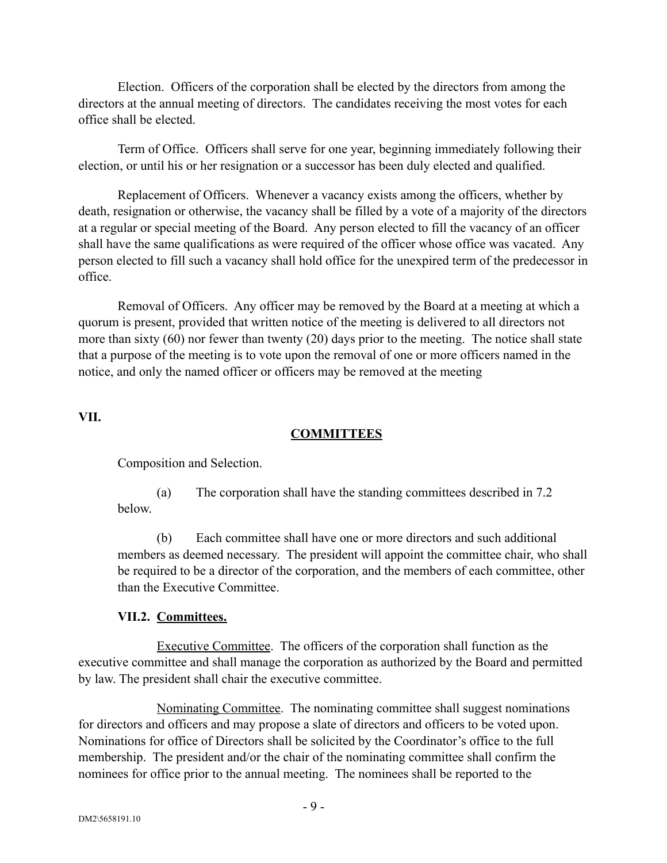Election. Officers of the corporation shall be elected by the directors from among the directors at the annual meeting of directors. The candidates receiving the most votes for each office shall be elected.

Term of Office. Officers shall serve for one year, beginning immediately following their election, or until his or her resignation or a successor has been duly elected and qualified.

Replacement of Officers. Whenever a vacancy exists among the officers, whether by death, resignation or otherwise, the vacancy shall be filled by a vote of a majority of the directors at a regular or special meeting of the Board. Any person elected to fill the vacancy of an officer shall have the same qualifications as were required of the officer whose office was vacated. Any person elected to fill such a vacancy shall hold office for the unexpired term of the predecessor in office.

Removal of Officers. Any officer may be removed by the Board at a meeting at which a quorum is present, provided that written notice of the meeting is delivered to all directors not more than sixty (60) nor fewer than twenty (20) days prior to the meeting. The notice shall state that a purpose of the meeting is to vote upon the removal of one or more officers named in the notice, and only the named officer or officers may be removed at the meeting

### **VII.**

# **COMMITTEES**

Composition and Selection.

(a) The corporation shall have the standing committees described in 7.2 below.

(b) Each committee shall have one or more directors and such additional members as deemed necessary. The president will appoint the committee chair, who shall be required to be a director of the corporation, and the members of each committee, other than the Executive Committee.

# **VII.2. Committees.**

Executive Committee. The officers of the corporation shall function as the executive committee and shall manage the corporation as authorized by the Board and permitted by law. The president shall chair the executive committee.

Nominating Committee. The nominating committee shall suggest nominations for directors and officers and may propose a slate of directors and officers to be voted upon. Nominations for office of Directors shall be solicited by the Coordinator's office to the full membership. The president and/or the chair of the nominating committee shall confirm the nominees for office prior to the annual meeting. The nominees shall be reported to the